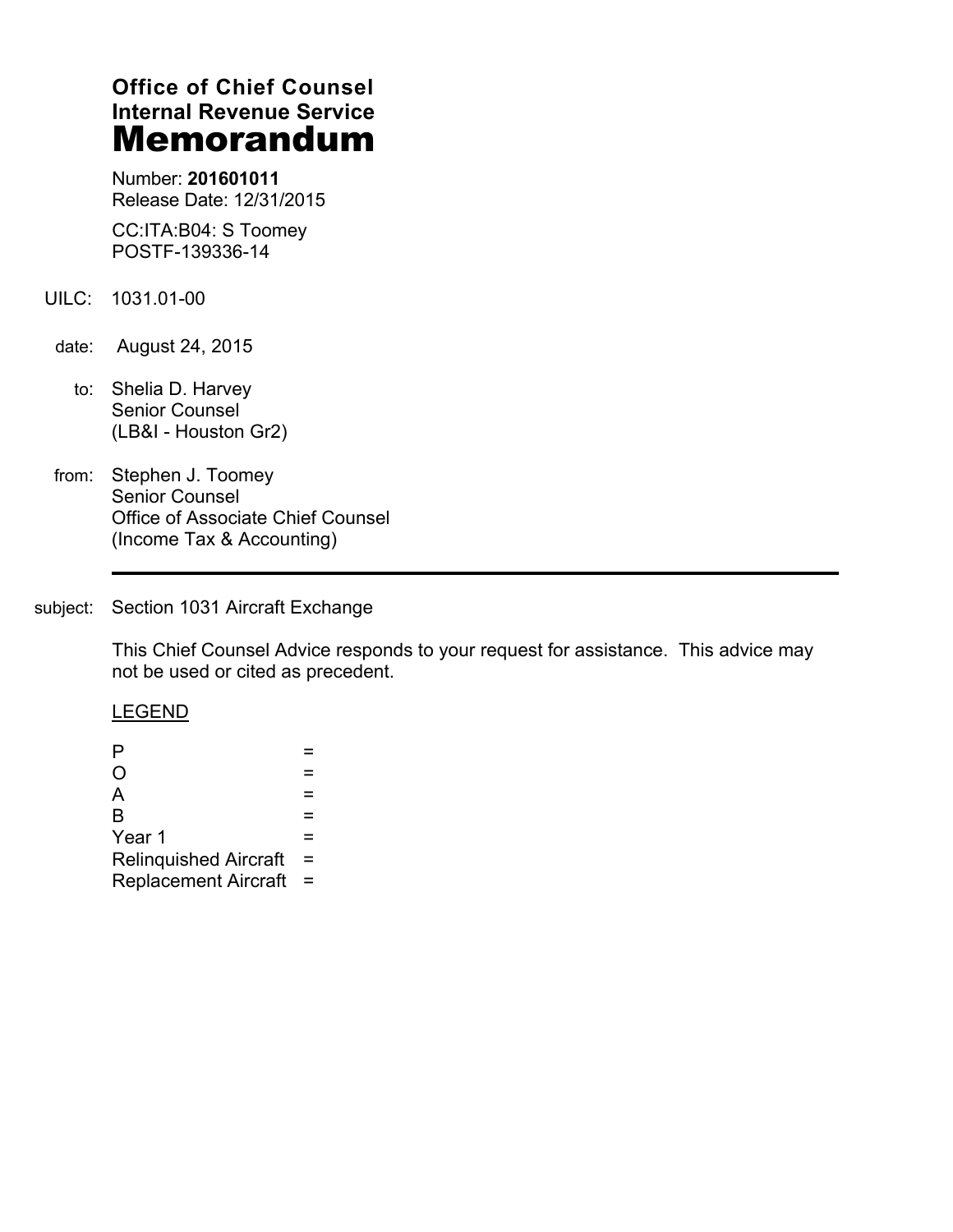# **Office of Chief Counsel Internal Revenue Service Memorandum**

Number: **201601011** Release Date: 12/31/2015

CC:ITA:B04: S Toomey POSTF-139336-14

- UILC: 1031.01-00
	- date: August 24, 2015
		- to: Shelia D. Harvey Senior Counsel (LB&I - Houston Gr2)
- from: Stephen J. Toomey Senior Counsel Office of Associate Chief Counsel (Income Tax & Accounting)

# subject: Section 1031 Aircraft Exchange

This Chief Counsel Advice responds to your request for assistance. This advice may not be used or cited as precedent.

#### LEGEND

| P                            |     |  |
|------------------------------|-----|--|
| O                            |     |  |
| A                            |     |  |
| B                            |     |  |
| Year 1                       |     |  |
| <b>Relinquished Aircraft</b> | $=$ |  |
| Replacement Aircraft =       |     |  |
|                              |     |  |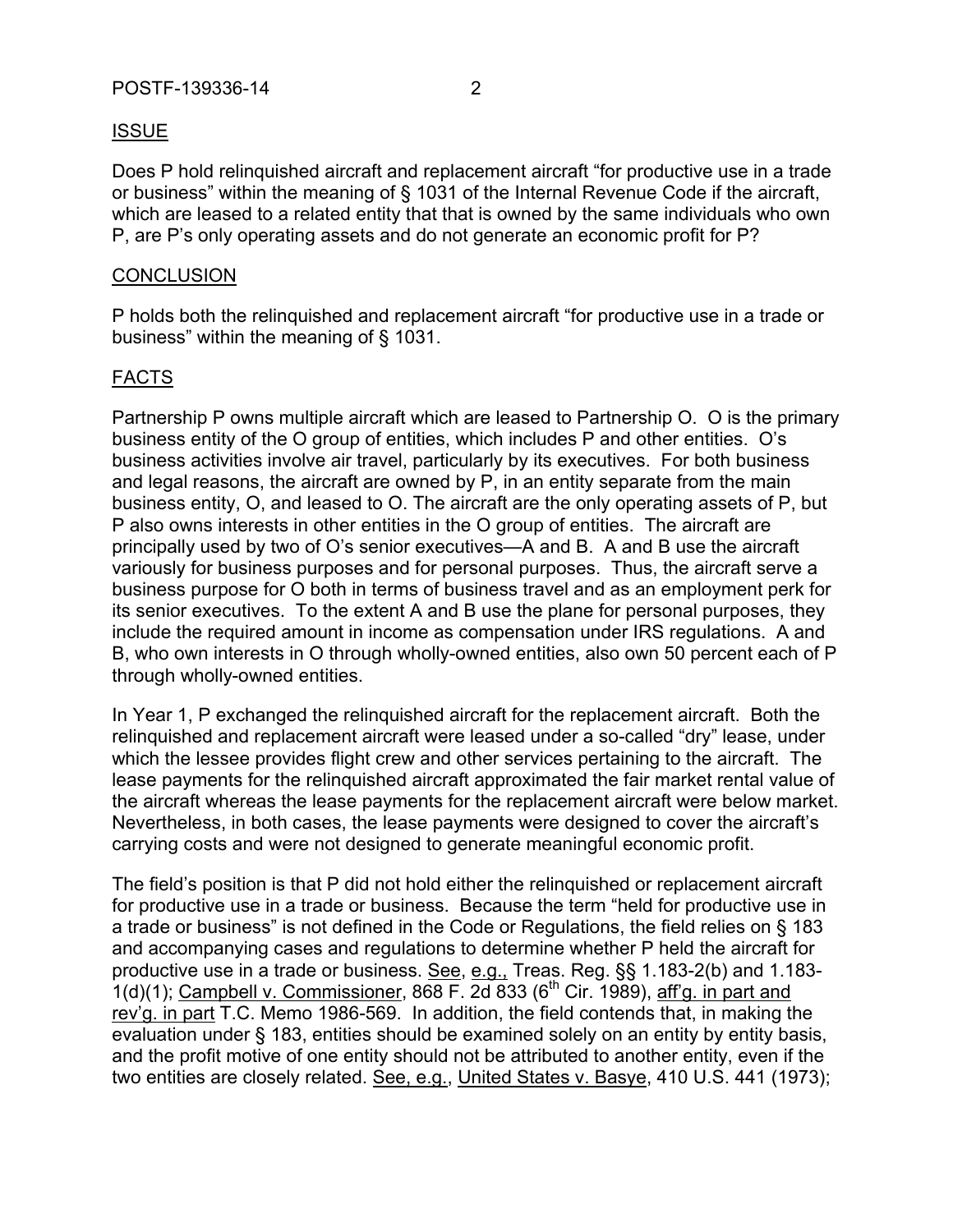# ISSUE

Does P hold relinquished aircraft and replacement aircraft "for productive use in a trade or business" within the meaning of § 1031 of the Internal Revenue Code if the aircraft, which are leased to a related entity that that is owned by the same individuals who own P, are P's only operating assets and do not generate an economic profit for P?

### **CONCLUSION**

P holds both the relinquished and replacement aircraft "for productive use in a trade or business" within the meaning of § 1031.

## FACTS

Partnership P owns multiple aircraft which are leased to Partnership O. O is the primary business entity of the O group of entities, which includes P and other entities. O's business activities involve air travel, particularly by its executives. For both business and legal reasons, the aircraft are owned by P, in an entity separate from the main business entity, O, and leased to O. The aircraft are the only operating assets of P, but P also owns interests in other entities in the O group of entities. The aircraft are principally used by two of O's senior executives—A and B. A and B use the aircraft variously for business purposes and for personal purposes. Thus, the aircraft serve a business purpose for O both in terms of business travel and as an employment perk for its senior executives. To the extent A and B use the plane for personal purposes, they include the required amount in income as compensation under IRS regulations. A and B, who own interests in O through wholly-owned entities, also own 50 percent each of P through wholly-owned entities.

In Year 1, P exchanged the relinquished aircraft for the replacement aircraft. Both the relinquished and replacement aircraft were leased under a so-called "dry" lease, under which the lessee provides flight crew and other services pertaining to the aircraft. The lease payments for the relinquished aircraft approximated the fair market rental value of the aircraft whereas the lease payments for the replacement aircraft were below market. Nevertheless, in both cases, the lease payments were designed to cover the aircraft's carrying costs and were not designed to generate meaningful economic profit.

The field's position is that P did not hold either the relinquished or replacement aircraft for productive use in a trade or business. Because the term "held for productive use in a trade or business" is not defined in the Code or Regulations, the field relies on § 183 and accompanying cases and regulations to determine whether P held the aircraft for productive use in a trade or business. See, e.g., Treas. Reg. §§ 1.183-2(b) and 1.183-  $1(d)(1)$ ; Campbell v. Commissioner, 868 F. 2d 833 (6<sup>th</sup> Cir. 1989), aff'g. in part and rev'g. in part T.C. Memo 1986-569. In addition, the field contends that, in making the evaluation under § 183, entities should be examined solely on an entity by entity basis, and the profit motive of one entity should not be attributed to another entity, even if the two entities are closely related. See, e.g., United States v. Basye, 410 U.S. 441 (1973);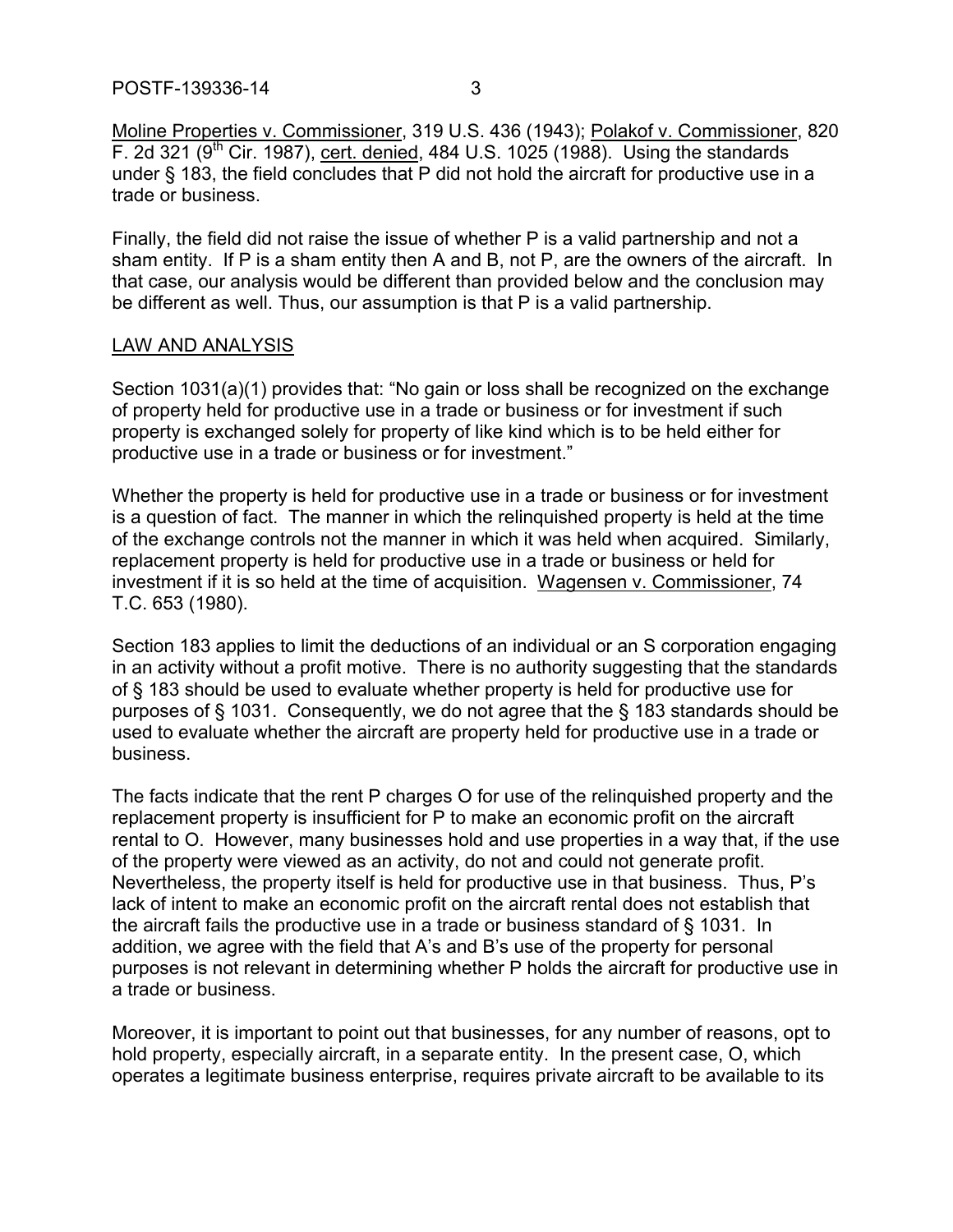Moline Properties v. Commissioner, 319 U.S. 436 (1943); Polakof v. Commissioner, 820  $F.$  2d 321 (9<sup>th</sup> Cir. 1987), cert. denied, 484 U.S. 1025 (1988). Using the standards under § 183, the field concludes that P did not hold the aircraft for productive use in a trade or business.

Finally, the field did not raise the issue of whether P is a valid partnership and not a sham entity. If P is a sham entity then A and B, not P, are the owners of the aircraft. In that case, our analysis would be different than provided below and the conclusion may be different as well. Thus, our assumption is that P is a valid partnership.

#### LAW AND ANALYSIS

Section 1031(a)(1) provides that: "No gain or loss shall be recognized on the exchange of property held for productive use in a trade or business or for investment if such property is exchanged solely for property of like kind which is to be held either for productive use in a trade or business or for investment."

Whether the property is held for productive use in a trade or business or for investment is a question of fact. The manner in which the relinquished property is held at the time of the exchange controls not the manner in which it was held when acquired. Similarly, replacement property is held for productive use in a trade or business or held for investment if it is so held at the time of acquisition. Wagensen v. Commissioner, 74 T.C. 653 (1980).

Section 183 applies to limit the deductions of an individual or an S corporation engaging in an activity without a profit motive. There is no authority suggesting that the standards of § 183 should be used to evaluate whether property is held for productive use for purposes of § 1031. Consequently, we do not agree that the § 183 standards should be used to evaluate whether the aircraft are property held for productive use in a trade or business.

The facts indicate that the rent P charges O for use of the relinquished property and the replacement property is insufficient for P to make an economic profit on the aircraft rental to O. However, many businesses hold and use properties in a way that, if the use of the property were viewed as an activity, do not and could not generate profit. Nevertheless, the property itself is held for productive use in that business. Thus, P's lack of intent to make an economic profit on the aircraft rental does not establish that the aircraft fails the productive use in a trade or business standard of § 1031. In addition, we agree with the field that A's and B's use of the property for personal purposes is not relevant in determining whether P holds the aircraft for productive use in a trade or business.

Moreover, it is important to point out that businesses, for any number of reasons, opt to hold property, especially aircraft, in a separate entity. In the present case, O, which operates a legitimate business enterprise, requires private aircraft to be available to its